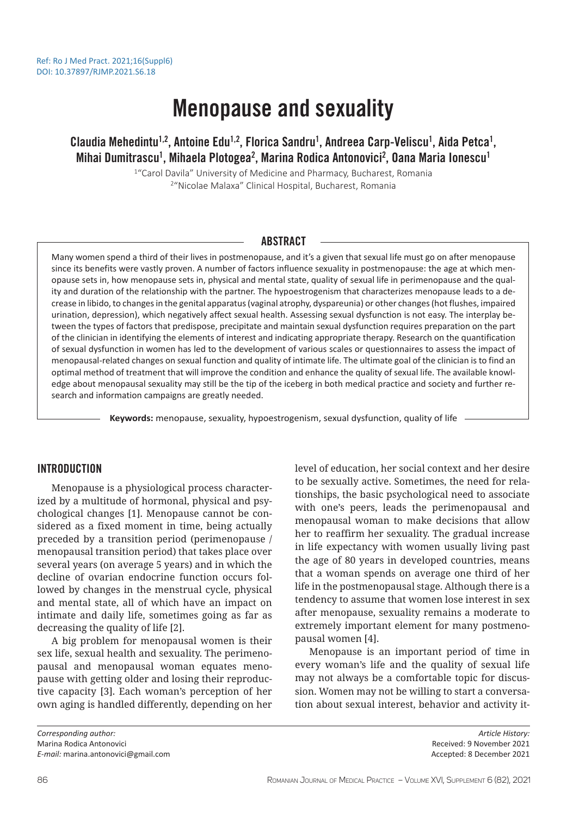# Menopause and sexuality

Claudia Mehedintu<sup>1,2</sup>, Antoine Edu<sup>1,2</sup>, Florica Sandru<sup>1</sup>, Andreea Carp-Veliscu<sup>1</sup>, Aida Petca<sup>1</sup>, Mihai Dumitrascu<sup>1</sup>, Mihaela Plotogea<sup>2</sup>, Marina Rodica Antonovici<sup>2</sup>, Oana Maria Ionescu<sup>1</sup>

> <sup>1</sup> "Carol Davila" University of Medicine and Pharmacy, Bucharest, Romania 2 "Nicolae Malaxa" Clinical Hospital, Bucharest, Romania

# ABSTRACT

Many women spend a third of their lives in postmenopause, and it's a given that sexual life must go on after menopause since its benefits were vastly proven. A number of factors influence sexuality in postmenopause: the age at which menopause sets in, how menopause sets in, physical and mental state, quality of sexual life in perimenopause and the quality and duration of the relationship with the partner. The hypoestrogenism that characterizes menopause leads to a decrease in libido, to changes in the genital apparatus (vaginal atrophy, dyspareunia) or other changes (hot flushes, impaired urination, depression), which negatively affect sexual health. Assessing sexual dysfunction is not easy. The interplay between the types of factors that predispose, precipitate and maintain sexual dysfunction requires preparation on the part of the clinician in identifying the elements of interest and indicating appropriate therapy. Research on the quantification of sexual dysfunction in women has led to the development of various scales or questionnaires to assess the impact of menopausal-related changes on sexual function and quality of intimate life. The ultimate goal of the clinician is to find an optimal method of treatment that will improve the condition and enhance the quality of sexual life. The available knowledge about menopausal sexuality may still be the tip of the iceberg in both medical practice and society and further research and information campaigns are greatly needed.

**Keywords:** menopause, sexuality, hypoestrogenism, sexual dysfunction, quality of life

# INTRODUCTION

Menopause is a physiological process characterized by a multitude of hormonal, physical and psychological changes [1]. Menopause cannot be considered as a fixed moment in time, being actually preceded by a transition period (perimenopause / menopausal transition period) that takes place over several years (on average 5 years) and in which the decline of ovarian endocrine function occurs followed by changes in the menstrual cycle, physical and mental state, all of which have an impact on intimate and daily life, sometimes going as far as decreasing the quality of life [2].

A big problem for menopausal women is their sex life, sexual health and sexuality. The perimenopausal and menopausal woman equates menopause with getting older and losing their reproductive capacity [3]. Each woman's perception of her own aging is handled differently, depending on her level of education, her social context and her desire to be sexually active. Sometimes, the need for relationships, the basic psychological need to associate with one's peers, leads the perimenopausal and menopausal woman to make decisions that allow her to reaffirm her sexuality. The gradual increase in life expectancy with women usually living past the age of 80 years in developed countries, means that a woman spends on average one third of her life in the postmenopausal stage. Although there is a tendency to assume that women lose interest in sex after menopause, sexuality remains a moderate to extremely important element for many postmenopausal women [4].

Menopause is an important period of time in every woman's life and the quality of sexual life may not always be a comfortable topic for discussion. Women may not be willing to start a conversation about sexual interest, behavior and activity it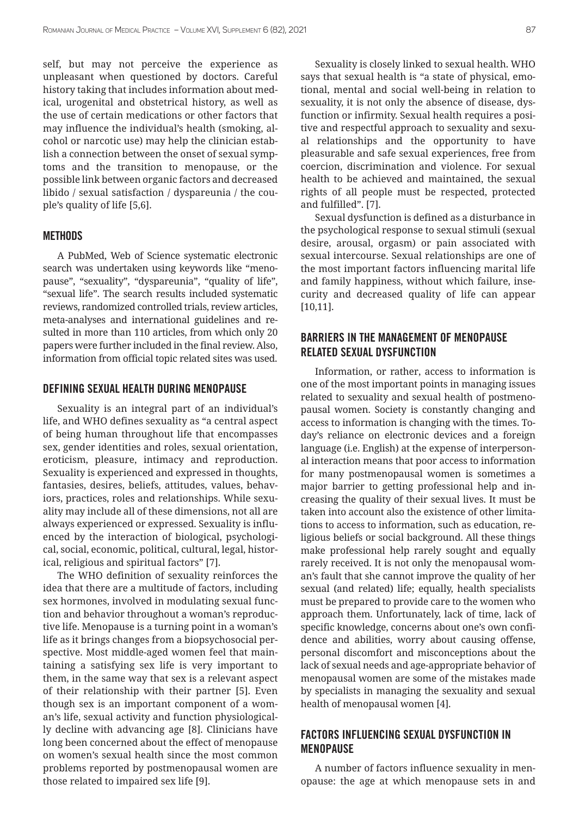self, but may not perceive the experience as unpleasant when questioned by doctors. Careful history taking that includes information about medical, urogenital and obstetrical history, as well as the use of certain medications or other factors that may influence the individual's health (smoking, alcohol or narcotic use) may help the clinician establish a connection between the onset of sexual symptoms and the transition to menopause, or the possible link between organic factors and decreased libido / sexual satisfaction / dyspareunia / the couple's quality of life [5,6].

## **METHODS**

A PubMed, Web of Science systematic electronic search was undertaken using keywords like "menopause", "sexuality", "dyspareunia", "quality of life", "sexual life". The search results included systematic reviews, randomized controlled trials, review articles, meta-analyses and international guidelines and resulted in more than 110 articles, from which only 20 papers were further included in the final review. Also, information from official topic related sites was used.

#### DEFINING SEXUAL HEALTH DURING MENOPAUSE

Sexuality is an integral part of an individual's life, and WHO defines sexuality as "a central aspect of being human throughout life that encompasses sex, gender identities and roles, sexual orientation, eroticism, pleasure, intimacy and reproduction. Sexuality is experienced and expressed in thoughts, fantasies, desires, beliefs, attitudes, values, behaviors, practices, roles and relationships. While sexuality may include all of these dimensions, not all are always experienced or expressed. Sexuality is influenced by the interaction of biological, psychological, social, economic, political, cultural, legal, historical, religious and spiritual factors" [7].

The WHO definition of sexuality reinforces the idea that there are a multitude of factors, including sex hormones, involved in modulating sexual function and behavior throughout a woman's reproductive life. Menopause is a turning point in a woman's life as it brings changes from a biopsychosocial perspective. Most middle-aged women feel that maintaining a satisfying sex life is very important to them, in the same way that sex is a relevant aspect of their relationship with their partner [5]. Even though sex is an important component of a woman's life, sexual activity and function physiologically decline with advancing age [8]. Clinicians have long been concerned about the effect of menopause on women's sexual health since the most common problems reported by postmenopausal women are those related to impaired sex life [9].

Sexuality is closely linked to sexual health. WHO says that sexual health is "a state of physical, emotional, mental and social well-being in relation to sexuality, it is not only the absence of disease, dysfunction or infirmity. Sexual health requires a positive and respectful approach to sexuality and sexual relationships and the opportunity to have pleasurable and safe sexual experiences, free from coercion, discrimination and violence. For sexual health to be achieved and maintained, the sexual rights of all people must be respected, protected and fulfilled". [7].

Sexual dysfunction is defined as a disturbance in the psychological response to sexual stimuli (sexual desire, arousal, orgasm) or pain associated with sexual intercourse. Sexual relationships are one of the most important factors influencing marital life and family happiness, without which failure, insecurity and decreased quality of life can appear [10,11].

# BARRIERS IN THE MANAGEMENT OF MENOPAUSE RELATED SEXUAL DYSFUNCTION

Information, or rather, access to information is one of the most important points in managing issues related to sexuality and sexual health of postmenopausal women. Society is constantly changing and access to information is changing with the times. Today's reliance on electronic devices and a foreign language (i.e. English) at the expense of interpersonal interaction means that poor access to information for many postmenopausal women is sometimes a major barrier to getting professional help and increasing the quality of their sexual lives. It must be taken into account also the existence of other limitations to access to information, such as education, religious beliefs or social background. All these things make professional help rarely sought and equally rarely received. It is not only the menopausal woman's fault that she cannot improve the quality of her sexual (and related) life; equally, health specialists must be prepared to provide care to the women who approach them. Unfortunately, lack of time, lack of specific knowledge, concerns about one's own confidence and abilities, worry about causing offense, personal discomfort and misconceptions about the lack of sexual needs and age-appropriate behavior of menopausal women are some of the mistakes made by specialists in managing the sexuality and sexual health of menopausal women [4].

# FACTORS INFLUENCING SEXUAL DYSFUNCTION IN MENOPAUSE

A number of factors influence sexuality in menopause: the age at which menopause sets in and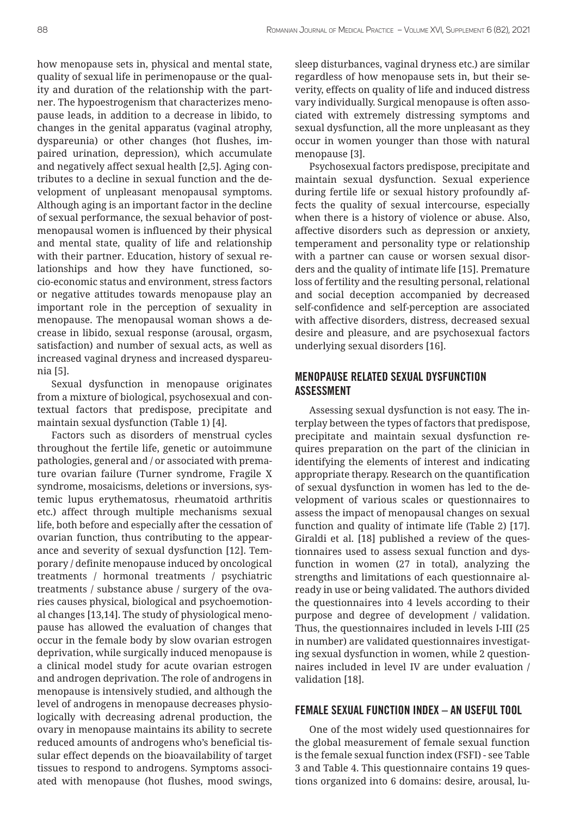how menopause sets in, physical and mental state, quality of sexual life in perimenopause or the quality and duration of the relationship with the partner. The hypoestrogenism that characterizes menopause leads, in addition to a decrease in libido, to changes in the genital apparatus (vaginal atrophy, dyspareunia) or other changes (hot flushes, impaired urination, depression), which accumulate and negatively affect sexual health [2,5]. Aging contributes to a decline in sexual function and the development of unpleasant menopausal symptoms. Although aging is an important factor in the decline of sexual performance, the sexual behavior of postmenopausal women is influenced by their physical and mental state, quality of life and relationship with their partner. Education, history of sexual relationships and how they have functioned, socio-economic status and environment, stress factors or negative attitudes towards menopause play an important role in the perception of sexuality in menopause. The menopausal woman shows a decrease in libido, sexual response (arousal, orgasm, satisfaction) and number of sexual acts, as well as increased vaginal dryness and increased dyspareunia [5].

Sexual dysfunction in menopause originates from a mixture of biological, psychosexual and contextual factors that predispose, precipitate and maintain sexual dysfunction (Table 1) [4].

Factors such as disorders of menstrual cycles throughout the fertile life, genetic or autoimmune pathologies, general and / or associated with premature ovarian failure (Turner syndrome, Fragile X syndrome, mosaicisms, deletions or inversions, systemic lupus erythematosus, rheumatoid arthritis etc.) affect through multiple mechanisms sexual life, both before and especially after the cessation of ovarian function, thus contributing to the appearance and severity of sexual dysfunction [12]. Temporary / definite menopause induced by oncological treatments / hormonal treatments / psychiatric treatments / substance abuse / surgery of the ovaries causes physical, biological and psychoemotional changes [13,14]. The study of physiological menopause has allowed the evaluation of changes that occur in the female body by slow ovarian estrogen deprivation, while surgically induced menopause is a clinical model study for acute ovarian estrogen and androgen deprivation. The role of androgens in menopause is intensively studied, and although the level of androgens in menopause decreases physiologically with decreasing adrenal production, the ovary in menopause maintains its ability to secrete reduced amounts of androgens who's beneficial tissular effect depends on the bioavailability of target tissues to respond to androgens. Symptoms associated with menopause (hot flushes, mood swings, sleep disturbances, vaginal dryness etc.) are similar regardless of how menopause sets in, but their severity, effects on quality of life and induced distress vary individually. Surgical menopause is often associated with extremely distressing symptoms and sexual dysfunction, all the more unpleasant as they occur in women younger than those with natural menopause [3].

Psychosexual factors predispose, precipitate and maintain sexual dysfunction. Sexual experience during fertile life or sexual history profoundly affects the quality of sexual intercourse, especially when there is a history of violence or abuse. Also, affective disorders such as depression or anxiety, temperament and personality type or relationship with a partner can cause or worsen sexual disorders and the quality of intimate life [15]. Premature loss of fertility and the resulting personal, relational and social deception accompanied by decreased self-confidence and self-perception are associated with affective disorders, distress, decreased sexual desire and pleasure, and are psychosexual factors underlying sexual disorders [16].

# MENOPAUSE RELATED SEXUAL DYSFUNCTION ASSESSMENT

Assessing sexual dysfunction is not easy. The interplay between the types of factors that predispose, precipitate and maintain sexual dysfunction requires preparation on the part of the clinician in identifying the elements of interest and indicating appropriate therapy. Research on the quantification of sexual dysfunction in women has led to the development of various scales or questionnaires to assess the impact of menopausal changes on sexual function and quality of intimate life (Table 2) [17]. Giraldi et al. [18] published a review of the questionnaires used to assess sexual function and dysfunction in women (27 in total), analyzing the strengths and limitations of each questionnaire already in use or being validated. The authors divided the questionnaires into 4 levels according to their purpose and degree of development / validation. Thus, the questionnaires included in levels I-III (25 in number) are validated questionnaires investigating sexual dysfunction in women, while 2 questionnaires included in level IV are under evaluation / validation [18].

## FEMALE SEXUAL FUNCTION INDEX – AN USEFUL TOOL

One of the most widely used questionnaires for the global measurement of female sexual function is the female sexual function index (FSFI) - see Table 3 and Table 4. This questionnaire contains 19 questions organized into 6 domains: desire, arousal, lu-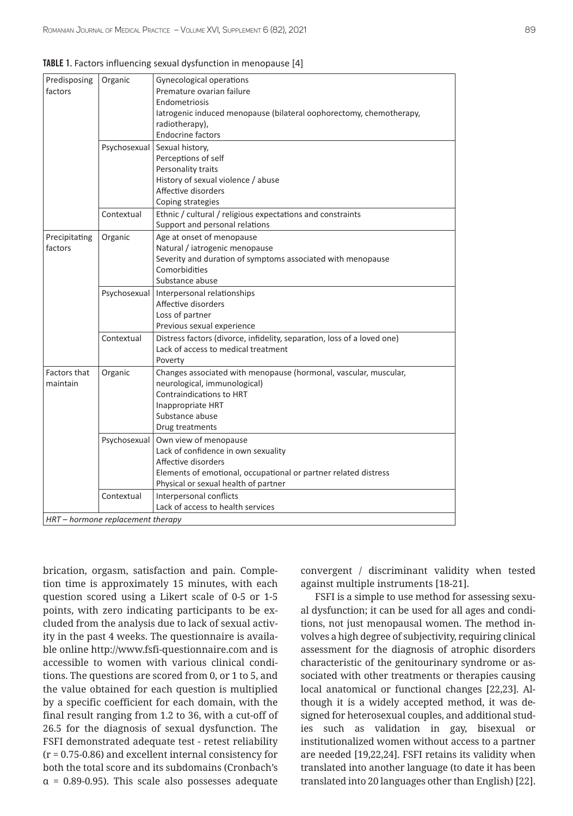| Predisposing  | Organic                           | Gynecological operations                                                |  |  |
|---------------|-----------------------------------|-------------------------------------------------------------------------|--|--|
| factors       |                                   | Premature ovarian failure                                               |  |  |
|               |                                   | Endometriosis                                                           |  |  |
|               |                                   | latrogenic induced menopause (bilateral oophorectomy, chemotherapy,     |  |  |
|               |                                   | radiotherapy),                                                          |  |  |
|               |                                   | <b>Endocrine factors</b>                                                |  |  |
|               |                                   |                                                                         |  |  |
|               |                                   | Psychosexual Sexual history,                                            |  |  |
|               |                                   | Perceptions of self                                                     |  |  |
|               |                                   | Personality traits                                                      |  |  |
|               |                                   | History of sexual violence / abuse                                      |  |  |
|               |                                   | Affective disorders                                                     |  |  |
|               |                                   | Coping strategies                                                       |  |  |
|               | Contextual                        | Ethnic / cultural / religious expectations and constraints              |  |  |
|               |                                   | Support and personal relations                                          |  |  |
| Precipitating | Organic                           | Age at onset of menopause                                               |  |  |
| factors       |                                   | Natural / iatrogenic menopause                                          |  |  |
|               |                                   | Severity and duration of symptoms associated with menopause             |  |  |
|               |                                   | Comorbidities                                                           |  |  |
|               |                                   | Substance abuse                                                         |  |  |
|               | Psychosexual                      | Interpersonal relationships                                             |  |  |
|               |                                   | Affective disorders                                                     |  |  |
|               |                                   | Loss of partner                                                         |  |  |
|               |                                   | Previous sexual experience                                              |  |  |
|               |                                   |                                                                         |  |  |
|               | Contextual                        | Distress factors (divorce, infidelity, separation, loss of a loved one) |  |  |
|               |                                   | Lack of access to medical treatment                                     |  |  |
|               |                                   | Poverty                                                                 |  |  |
| Factors that  | Organic                           | Changes associated with menopause (hormonal, vascular, muscular,        |  |  |
| maintain      |                                   | neurological, immunological)                                            |  |  |
|               |                                   | <b>Contraindications to HRT</b>                                         |  |  |
|               |                                   | Inappropriate HRT                                                       |  |  |
|               |                                   | Substance abuse                                                         |  |  |
|               |                                   | Drug treatments                                                         |  |  |
|               | Psychosexual                      | Own view of menopause                                                   |  |  |
|               |                                   | Lack of confidence in own sexuality                                     |  |  |
|               |                                   | Affective disorders                                                     |  |  |
|               |                                   | Elements of emotional, occupational or partner related distress         |  |  |
|               |                                   | Physical or sexual health of partner                                    |  |  |
|               |                                   |                                                                         |  |  |
|               | Contextual                        | Interpersonal conflicts                                                 |  |  |
|               |                                   | Lack of access to health services                                       |  |  |
|               | HRT - hormone replacement therapy |                                                                         |  |  |

TABLE 1. Factors influencing sexual dysfunction in menopause [4]

brication, orgasm, satisfaction and pain. Completion time is approximately 15 minutes, with each question scored using a Likert scale of 0-5 or 1-5 points, with zero indicating participants to be excluded from the analysis due to lack of sexual activity in the past 4 weeks. The questionnaire is available online http://www.fsfi-questionnaire.com and is accessible to women with various clinical conditions. The questions are scored from 0, or 1 to 5, and the value obtained for each question is multiplied by a specific coefficient for each domain, with the final result ranging from 1.2 to 36, with a cut-off of 26.5 for the diagnosis of sexual dysfunction. The FSFI demonstrated adequate test - retest reliability (r = 0.75-0.86) and excellent internal consistency for both the total score and its subdomains (Cronbach's  $\alpha$  = 0.89-0.95). This scale also possesses adequate

convergent / discriminant validity when tested against multiple instruments [18-21].

FSFI is a simple to use method for assessing sexual dysfunction; it can be used for all ages and conditions, not just menopausal women. The method involves a high degree of subjectivity, requiring clinical assessment for the diagnosis of atrophic disorders characteristic of the genitourinary syndrome or associated with other treatments or therapies causing local anatomical or functional changes [22,23]. Although it is a widely accepted method, it was designed for heterosexual couples, and additional studies such as validation in gay, bisexual or institutionalized women without access to a partner are needed [19,22,24]. FSFI retains its validity when translated into another language (to date it has been translated into 20 languages other than English) [22].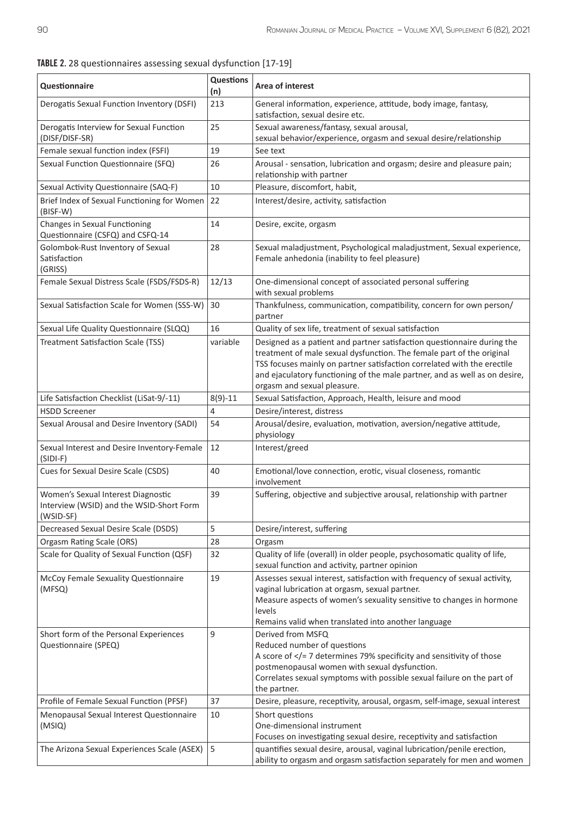| Questionnaire                                                                               | Questions<br>(n) | Area of interest                                                                                                                                                                                                                                                                                                                         |  |  |
|---------------------------------------------------------------------------------------------|------------------|------------------------------------------------------------------------------------------------------------------------------------------------------------------------------------------------------------------------------------------------------------------------------------------------------------------------------------------|--|--|
| Derogatis Sexual Function Inventory (DSFI)                                                  | 213              | General information, experience, attitude, body image, fantasy,<br>satisfaction, sexual desire etc.                                                                                                                                                                                                                                      |  |  |
| Derogatis Interview for Sexual Function<br>(DISF/DISF-SR)                                   | 25               | Sexual awareness/fantasy, sexual arousal,<br>sexual behavior/experience, orgasm and sexual desire/relationship                                                                                                                                                                                                                           |  |  |
| Female sexual function index (FSFI)                                                         | 19               | See text                                                                                                                                                                                                                                                                                                                                 |  |  |
| Sexual Function Questionnaire (SFQ)                                                         | 26               | Arousal - sensation, lubrication and orgasm; desire and pleasure pain;<br>relationship with partner                                                                                                                                                                                                                                      |  |  |
| Sexual Activity Questionnaire (SAQ-F)                                                       | 10               | Pleasure, discomfort, habit,                                                                                                                                                                                                                                                                                                             |  |  |
| Brief Index of Sexual Functioning for Women                                                 | 22               | Interest/desire, activity, satisfaction                                                                                                                                                                                                                                                                                                  |  |  |
| (BISF-W)                                                                                    |                  |                                                                                                                                                                                                                                                                                                                                          |  |  |
| Changes in Sexual Functioning<br>Questionnaire (CSFQ) and CSFQ-14                           | 14               | Desire, excite, orgasm                                                                                                                                                                                                                                                                                                                   |  |  |
| Golombok-Rust Inventory of Sexual<br>Satisfaction<br>(GRISS)                                | 28               | Sexual maladjustment, Psychological maladjustment, Sexual experience,<br>Female anhedonia (inability to feel pleasure)                                                                                                                                                                                                                   |  |  |
| Female Sexual Distress Scale (FSDS/FSDS-R)                                                  | 12/13            | One-dimensional concept of associated personal suffering<br>with sexual problems                                                                                                                                                                                                                                                         |  |  |
| Sexual Satisfaction Scale for Women (SSS-W)                                                 | 30               | Thankfulness, communication, compatibility, concern for own person/<br>partner                                                                                                                                                                                                                                                           |  |  |
| Sexual Life Quality Questionnaire (SLQQ)                                                    | 16               | Quality of sex life, treatment of sexual satisfaction                                                                                                                                                                                                                                                                                    |  |  |
| Treatment Satisfaction Scale (TSS)                                                          | variable         | Designed as a patient and partner satisfaction questionnaire during the<br>treatment of male sexual dysfunction. The female part of the original<br>TSS focuses mainly on partner satisfaction correlated with the erectile<br>and ejaculatory functioning of the male partner, and as well as on desire,<br>orgasm and sexual pleasure. |  |  |
| Life Satisfaction Checklist (LiSat-9/-11)                                                   | $8(9)-11$        | Sexual Satisfaction, Approach, Health, leisure and mood                                                                                                                                                                                                                                                                                  |  |  |
| <b>HSDD Screener</b>                                                                        | 4                | Desire/interest, distress                                                                                                                                                                                                                                                                                                                |  |  |
| Sexual Arousal and Desire Inventory (SADI)                                                  | 54               | Arousal/desire, evaluation, motivation, aversion/negative attitude,<br>physiology                                                                                                                                                                                                                                                        |  |  |
| Sexual Interest and Desire Inventory-Female<br>$(SIDI-F)$                                   | 12               | Interest/greed                                                                                                                                                                                                                                                                                                                           |  |  |
| Cues for Sexual Desire Scale (CSDS)                                                         | 40               | Emotional/love connection, erotic, visual closeness, romantic<br>involvement                                                                                                                                                                                                                                                             |  |  |
| Women's Sexual Interest Diagnostic<br>Interview (WSID) and the WSID-Short Form<br>(WSID-SF) | 39               | Suffering, objective and subjective arousal, relationship with partner                                                                                                                                                                                                                                                                   |  |  |
| Decreased Sexual Desire Scale (DSDS)                                                        | 5                | Desire/interest, suffering                                                                                                                                                                                                                                                                                                               |  |  |
| Orgasm Rating Scale (ORS)                                                                   | 28               | Orgasm                                                                                                                                                                                                                                                                                                                                   |  |  |
| Scale for Quality of Sexual Function (QSF)                                                  | 32               | Quality of life (overall) in older people, psychosomatic quality of life,<br>sexual function and activity, partner opinion                                                                                                                                                                                                               |  |  |
| McCoy Female Sexuality Questionnaire<br>(MFSQ)                                              | 19               | Assesses sexual interest, satisfaction with frequency of sexual activity,<br>vaginal lubrication at orgasm, sexual partner.<br>Measure aspects of women's sexuality sensitive to changes in hormone<br>levels<br>Remains valid when translated into another language                                                                     |  |  |
| Short form of the Personal Experiences<br>Questionnaire (SPEQ)                              | 9                | Derived from MSFQ<br>Reduced number of questions<br>A score of $\lt/$ = 7 determines 79% specificity and sensitivity of those<br>postmenopausal women with sexual dysfunction.<br>Correlates sexual symptoms with possible sexual failure on the part of<br>the partner.                                                                 |  |  |
| Profile of Female Sexual Function (PFSF)                                                    | 37               | Desire, pleasure, receptivity, arousal, orgasm, self-image, sexual interest                                                                                                                                                                                                                                                              |  |  |
| Menopausal Sexual Interest Questionnaire<br>(MSIQ)                                          | 10               | Short questions<br>One-dimensional instrument                                                                                                                                                                                                                                                                                            |  |  |
|                                                                                             |                  | Focuses on investigating sexual desire, receptivity and satisfaction                                                                                                                                                                                                                                                                     |  |  |
| The Arizona Sexual Experiences Scale (ASEX)                                                 | 5                | quantifies sexual desire, arousal, vaginal lubrication/penile erection,<br>ability to orgasm and orgasm satisfaction separately for men and women                                                                                                                                                                                        |  |  |

TABLE 2. 28 questionnaires assessing sexual dysfunction [17-19]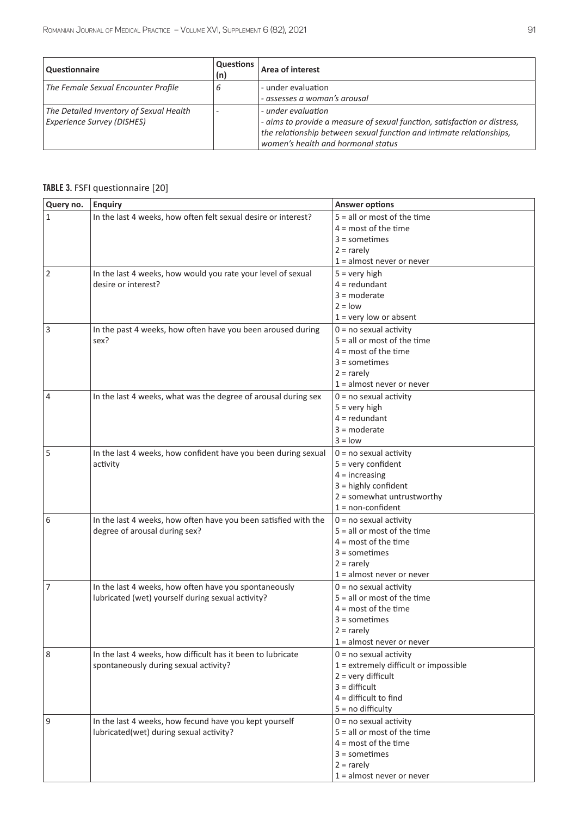| Questionnaire                           | <b>Questions</b><br>(n) | Area of interest                                                          |
|-----------------------------------------|-------------------------|---------------------------------------------------------------------------|
| The Female Sexual Encounter Profile     | ь                       | - under evaluation                                                        |
|                                         |                         | - assesses a woman's arousal                                              |
| The Detailed Inventory of Sexual Health |                         | - under evaluation                                                        |
| <b>Experience Survey (DISHES)</b>       |                         | - aims to provide a measure of sexual function, satisfaction or distress, |
|                                         |                         | the relationship between sexual function and intimate relationships,      |
|                                         |                         | women's health and hormonal status                                        |

# TABLE 3. FSFI questionnaire [20]

| Query no.      | <b>Enguiry</b>                                                                                   | <b>Answer options</b>                                     |
|----------------|--------------------------------------------------------------------------------------------------|-----------------------------------------------------------|
| $\mathbf{1}$   | In the last 4 weeks, how often felt sexual desire or interest?                                   | $5 =$ all or most of the time                             |
|                |                                                                                                  | $4 =$ most of the time                                    |
|                |                                                                                                  | $3 =$ sometimes                                           |
|                |                                                                                                  | $2 =$ rarely                                              |
|                |                                                                                                  | $1 =$ almost never or never                               |
| 2              | In the last 4 weeks, how would you rate your level of sexual                                     | $5 =$ very high                                           |
|                | desire or interest?                                                                              | $4 =$ redundant                                           |
|                |                                                                                                  | $3 =$ moderate                                            |
|                |                                                                                                  | $2 =$ low                                                 |
|                |                                                                                                  | $1 =$ very low or absent                                  |
| 3              | In the past 4 weeks, how often have you been aroused during                                      | $0 = no$ sexual activity                                  |
|                | sex?                                                                                             | $5 =$ all or most of the time                             |
|                |                                                                                                  | $4 =$ most of the time                                    |
|                |                                                                                                  | $3 =$ sometimes                                           |
|                |                                                                                                  | $2 =$ rarely                                              |
|                |                                                                                                  | $1 =$ almost never or never                               |
| 4              | In the last 4 weeks, what was the degree of arousal during sex                                   | $0 = no$ sexual activity                                  |
|                |                                                                                                  | $5 = \text{very high}$                                    |
|                |                                                                                                  | $4 =$ redundant                                           |
|                |                                                                                                  | $3 =$ moderate                                            |
|                |                                                                                                  | $3 = low$                                                 |
| 5              | In the last 4 weeks, how confident have you been during sexual                                   | $0 = no$ sexual activity                                  |
|                | activity                                                                                         | $5 =$ very confident                                      |
|                |                                                                                                  | $4 = increasing$                                          |
|                |                                                                                                  | $3 =$ highly confident                                    |
|                |                                                                                                  | $2 =$ somewhat untrustworthy<br>$1 = non-confident$       |
|                |                                                                                                  |                                                           |
| 6              | In the last 4 weeks, how often have you been satisfied with the<br>degree of arousal during sex? | $0 = no$ sexual activity<br>$5 =$ all or most of the time |
|                |                                                                                                  | $4 =$ most of the time                                    |
|                |                                                                                                  | $3 =$ sometimes                                           |
|                |                                                                                                  | $2 =$ rarely                                              |
|                |                                                                                                  | $1 =$ almost never or never                               |
| $\overline{7}$ | In the last 4 weeks, how often have you spontaneously                                            | $0 = no$ sexual activity                                  |
|                | lubricated (wet) yourself during sexual activity?                                                | $5 =$ all or most of the time                             |
|                |                                                                                                  | $4 =$ most of the time                                    |
|                |                                                                                                  | $3 =$ sometimes                                           |
|                |                                                                                                  | $2 =$ rarely                                              |
|                |                                                                                                  | $1 =$ almost never or never                               |
| 8              | In the last 4 weeks, how difficult has it been to lubricate                                      | $0 = no$ sexual activity                                  |
|                | spontaneously during sexual activity?                                                            | 1 = extremely difficult or impossible                     |
|                |                                                                                                  | $2 = very$ difficult                                      |
|                |                                                                                                  | $3 =$ difficult                                           |
|                |                                                                                                  | $4 =$ difficult to find                                   |
|                |                                                                                                  | $5 = no$ difficulty                                       |
| 9              | In the last 4 weeks, how fecund have you kept yourself                                           | $0 = no$ sexual activity                                  |
|                | lubricated(wet) during sexual activity?                                                          | $5 =$ all or most of the time                             |
|                |                                                                                                  | $4 =$ most of the time                                    |
|                |                                                                                                  | $3 =$ sometimes                                           |
|                |                                                                                                  | $2 = rarely$                                              |
|                |                                                                                                  | $1 =$ almost never or never                               |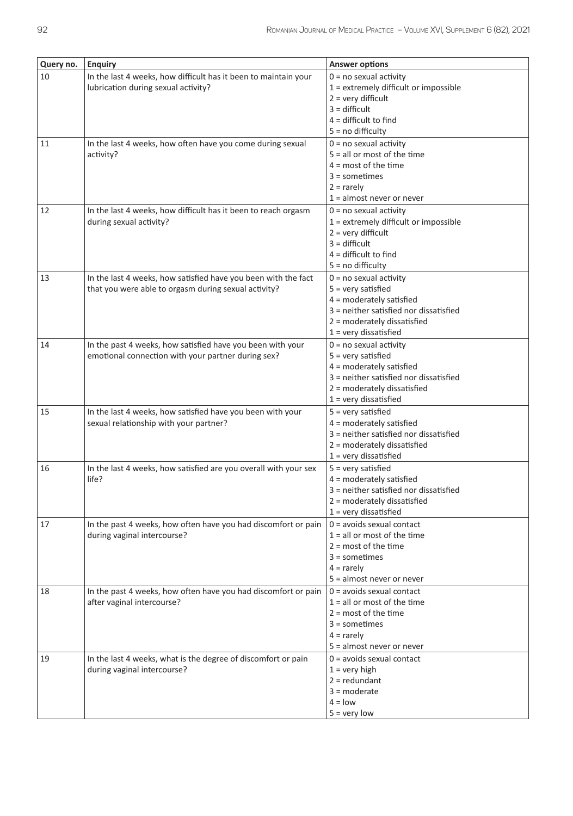| Query no. | <b>Enquiry</b>                                                   | <b>Answer options</b>                   |
|-----------|------------------------------------------------------------------|-----------------------------------------|
| 10        | In the last 4 weeks, how difficult has it been to maintain your  | $0 = no$ sexual activity                |
|           | lubrication during sexual activity?                              | 1 = extremely difficult or impossible   |
|           |                                                                  | $2 = very$ difficult                    |
|           |                                                                  | $3 =$ difficult                         |
|           |                                                                  | $4 =$ difficult to find                 |
|           |                                                                  | $5 = no$ difficulty                     |
| 11        | In the last 4 weeks, how often have you come during sexual       | $0 = no$ sexual activity                |
|           | activity?                                                        | $5 =$ all or most of the time           |
|           |                                                                  | $4 =$ most of the time                  |
|           |                                                                  | $3 =$ sometimes                         |
|           |                                                                  | $2 =$ rarely                            |
|           |                                                                  | $1 =$ almost never or never             |
| 12        | In the last 4 weeks, how difficult has it been to reach orgasm   | $0 = no$ sexual activity                |
|           | during sexual activity?                                          | $1 =$ extremely difficult or impossible |
|           |                                                                  | $2 = very$ difficult                    |
|           |                                                                  | $3 =$ difficult                         |
|           |                                                                  | $4 =$ difficult to find                 |
|           |                                                                  | $5 = no$ difficulty                     |
| 13        | In the last 4 weeks, how satisfied have you been with the fact   | $0 = no$ sexual activity                |
|           | that you were able to orgasm during sexual activity?             | $5 =$ very satisfied                    |
|           |                                                                  | $4$ = moderately satisfied              |
|           |                                                                  | 3 = neither satisfied nor dissatisfied  |
|           |                                                                  | 2 = moderately dissatisfied             |
|           |                                                                  | $1 =$ very dissatisfied                 |
| 14        | In the past 4 weeks, how satisfied have you been with your       | $0 = no$ sexual activity                |
|           | emotional connection with your partner during sex?               | $5 =$ very satisfied                    |
|           |                                                                  | $4$ = moderately satisfied              |
|           |                                                                  | 3 = neither satisfied nor dissatisfied  |
|           |                                                                  | 2 = moderately dissatisfied             |
|           |                                                                  | $1 =$ very dissatisfied                 |
| 15        | In the last 4 weeks, how satisfied have you been with your       | $5 =$ very satisfied                    |
|           | sexual relationship with your partner?                           | $4$ = moderately satisfied              |
|           |                                                                  | 3 = neither satisfied nor dissatisfied  |
|           |                                                                  | 2 = moderately dissatisfied             |
|           |                                                                  | $1 =$ very dissatisfied                 |
| 16        | In the last 4 weeks, how satisfied are you overall with your sex | $5 =$ very satisfied                    |
|           | life?                                                            | $4 =$ moderately satisfied              |
|           |                                                                  | 3 = neither satisfied nor dissatisfied  |
|           |                                                                  | 2 = moderately dissatisfied             |
|           |                                                                  | $1 =$ very dissatisfied                 |
| 17        | In the past 4 weeks, how often have you had discomfort or pain   | $0 =$ avoids sexual contact             |
|           | during vaginal intercourse?                                      | $1 =$ all or most of the time           |
|           |                                                                  | $2 =$ most of the time                  |
|           |                                                                  | $3 =$ sometimes                         |
|           |                                                                  | $4 =$ rarely                            |
|           |                                                                  | 5 = almost never or never               |
| 18        | In the past 4 weeks, how often have you had discomfort or pain   | $0 =$ avoids sexual contact             |
|           | after vaginal intercourse?                                       | $1 =$ all or most of the time           |
|           |                                                                  | $2 =$ most of the time                  |
|           |                                                                  | $3 =$ sometimes                         |
|           |                                                                  | $4 =$ rarely                            |
|           |                                                                  | 5 = almost never or never               |
| 19        | In the last 4 weeks, what is the degree of discomfort or pain    | $0 =$ avoids sexual contact             |
|           | during vaginal intercourse?                                      | $1 = \text{very high}$                  |
|           |                                                                  | $2 =$ redundant                         |
|           |                                                                  | $3 =$ moderate                          |
|           |                                                                  | $4 = low$                               |
|           |                                                                  | $5 = \text{very low}$                   |